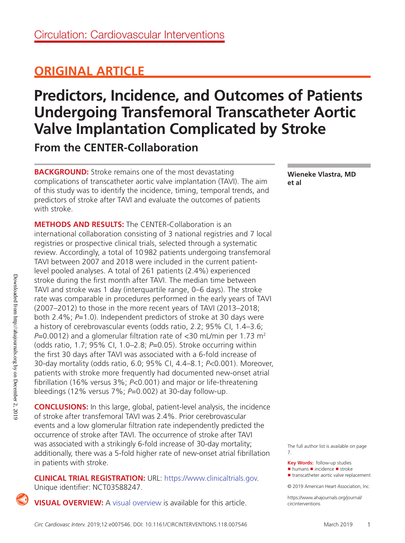## **ORIGINAL ARTICLE**

# **Predictors, Incidence, and Outcomes of Patients Undergoing Transfemoral Transcatheter Aortic Valve Implantation Complicated by Stroke**

**From the CENTER-Collaboration**

**BACKGROUND:** Stroke remains one of the most devastating complications of transcatheter aortic valve implantation (TAVI). The aim of this study was to identify the incidence, timing, temporal trends, and predictors of stroke after TAVI and evaluate the outcomes of patients with stroke.

**METHODS AND RESULTS:** The CENTER-Collaboration is an international collaboration consisting of 3 national registries and 7 local registries or prospective clinical trials, selected through a systematic review. Accordingly, a total of 10 982 patients undergoing transfemoral TAVI between 2007 and 2018 were included in the current patientlevel pooled analyses. A total of 261 patients (2.4%) experienced stroke during the first month after TAVI. The median time between TAVI and stroke was 1 day (interquartile range, 0–6 days). The stroke rate was comparable in procedures performed in the early years of TAVI (2007–2012) to those in the more recent years of TAVI (2013–2018; both 2.4%; *P*=1.0). Independent predictors of stroke at 30 days were a history of cerebrovascular events (odds ratio, 2.2; 95% CI, 1.4–3.6; *P*=0.0012) and a glomerular filtration rate of <30 mL/min per 1.73 m<sup>2</sup> (odds ratio, 1.7; 95% CI, 1.0–2.8; *P*=0.05). Stroke occurring within the first 30 days after TAVI was associated with a 6-fold increase of 30-day mortality (odds ratio, 6.0; 95% CI, 4.4–8.1; *P*<0.001). Moreover, patients with stroke more frequently had documented new-onset atrial fibrillation (16% versus 3%; *P*<0.001) and major or life-threatening bleedings (12% versus 7%; *P*=0.002) at 30-day follow-up.

**CONCLUSIONS:** In this large, global, patient-level analysis, the incidence of stroke after transfemoral TAVI was 2.4%. Prior cerebrovascular events and a low glomerular filtration rate independently predicted the occurrence of stroke after TAVI. The occurrence of stroke after TAVI was associated with a strikingly 6-fold increase of 30-day mortality; additionally, there was a 5-fold higher rate of new-onset atrial fibrillation in patients with stroke.

**CLINICAL TRIAL REGISTRATION:** URL: https://www.clinicaltrials.gov. Unique identifier: NCT03588247.

**VISUAL OVERVIEW:** A visual overview is available for this article.

**Wieneke Vlastra, MD et al**

The full author list is available on page 7.

**Key Words:** follow-up studies

■ humans ■ incidence ■ stroke

■ transcatheter aortic valve replacement

© 2019 American Heart Association, Inc.

https://www.ahajournals.org/journal/ circinterventions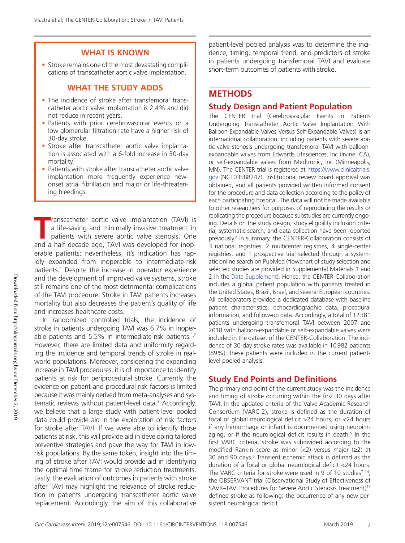## **WHAT IS KNOWN**

• Stroke remains one of the most devastating complications of transcatheter aortic valve implantation.

## **WHAT THE STUDY ADDS**

- The incidence of stroke after transfemoral transcatheter aortic valve implantation is 2.4% and did not reduce in recent years.
- Patients with prior cerebrovascular events or a low glomerular filtration rate have a higher risk of 30-day stroke.
- Stroke after transcatheter aortic valve implantation is associated with a 6-fold increase in 30-day mortality.
- Patients with stroke after transcatheter aortic valve implantation more frequently experience newonset atrial fibrillation and major or life-threatening bleedings.

**Transcatheter aortic valve implantation (TAVI) is<br>
a life-saving and minimally invasive treatment in<br>
patients with severe aortic valve stenosis. One<br>
and a half docade ago, TAVI was doveloped for inco**a life-saving and minimally invasive treatment in and a half decade ago, TAVI was developed for inoperable patients; nevertheless, it's indication has rapidly expanded from inoperable to intermediate-risk patients.1 Despite the increase in operator experience and the development of improved valve systems, stroke still remains one of the most detrimental complications of the TAVI procedure. Stroke in TAVI patients increases mortality but also decreases the patient's quality of life and increases healthcare costs.

In randomized controlled trials, the incidence of stroke in patients undergoing TAVI was 6.7% in inoperable patients and 5.5% in intermediate-risk patients.<sup>1,2</sup> However, there are limited data and uniformity regarding the incidence and temporal trends of stroke in realworld populations. Moreover, considering the expanding increase in TAVI procedures, it is of importance to identify patients at risk for periprocedural stroke. Currently, the evidence on patient and procedural risk factors is limited because it was mainly derived from meta-analyses and systematic reviews without patient-level data.<sup>3</sup> Accordingly, we believe that a large study with patient-level pooled data could provide aid in the exploration of risk factors for stroke after TAVI. If we were able to identify those patients at risk, this will provide aid in developing tailored preventive strategies and pave the way for TAVI in lowrisk populations. By the same token, insight into the timing of stroke after TAVI would provide aid in identifying the optimal time frame for stroke reduction treatments. Lastly, the evaluation of outcomes in patients with stroke after TAVI may highlight the relevance of stroke reduction in patients undergoing transcatheter aortic valve replacement. Accordingly, the aim of this collaborative

patient-level pooled analysis was to determine the incidence, timing, temporal trend, and predictors of stroke in patients undergoing transfemoral TAVI and evaluate short-term outcomes of patients with stroke.

## **METHODS**

## **Study Design and Patient Population**

The CENTER trial (Cerebrovascular Events in Patients Undergoing Transcatheter Aortic Valve Implantation With Balloon-Expandable Valves Versus Self-Expandable Valves) is an international collaboration, including patients with severe aortic valve stenosis undergoing transfemoral TAVI with balloonexpandable valves from Edwards Lifesciences, Inc (Irvine, CA), or self-expandable valves from Medtronic, Inc (Minneapolis, MN). The CENTER trial is registered at https://www.clinicaltrials. gov (NCT03588247). Institutional review board approval was obtained, and all patients provided written informed consent for the procedure and data collection according to the policy of each participating hospital. The data will not be made available to other researchers for purposes of reproducing the results or replicating the procedure because substudies are currently ongoing. Details on the study design, study eligibility inclusion criteria, systematic search, and data collection have been reported previously.4 In summary, the CENTER-Collaboration consists of 3 national registries, 2 multicenter registries, 4 single-center registries, and 1 prospective trial selected through a systematic online search on PubMed (flowchart of study selection and selected studies are provided in Supplemental Materials 1 and 2 in the Data Supplement). Hence, the CENTER-Collaboration includes a global patient population with patients treated in the United States, Brazil, Israel, and several European countries. All collaborators provided a dedicated database with baseline patient characteristics, echocardiographic data, procedural information, and follow-up data. Accordingly, a total of 12381 patients undergoing transfemoral TAVI between 2007 and 2018 with balloon-expandable or self-expandable valves were included in the dataset of the CENTER-Collaboration. The incidence of 30-day stroke rates was available in 10982 patients (89%); these patients were included in the current patientlevel pooled analysis.

## **Study End Points and Definitions**

The primary end point of the current study was the incidence and timing of stroke occurring within the first 30 days after TAVI. In the updated criteria of the Valve Academic Research Consortium (VARC-2), stroke is defined as the duration of focal or global neurological deficit >24 hours, or <24 hours if any hemorrhage or infarct is documented using neuroimaging, or if the neurological deficit results in death.<sup>5</sup> In the first VARC criteria, stroke was subdivided according to the modified Rankin score as minor  $\langle z \rangle$  versus major  $\langle \geq 2 \rangle$  at 30 and 90 days.<sup>6</sup> Transient ischemic attack is defined as the duration of a focal or global neurological deficit <24 hours. The VARC criteria for stroke were used in 9 of 10 studies $7-14$ ; the OBSERVANT trial (Observational Study of Effectiveness of SAVR-TAVI Procedures for Severe Aortic Stenosis Treatment)<sup>15</sup> defined stroke as following: the occurrence of any new persistent neurological deficit.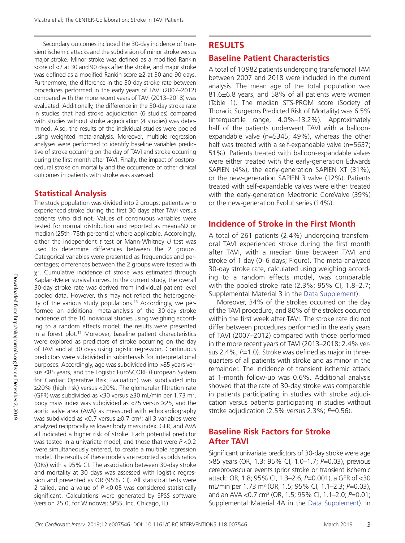Secondary outcomes included the 30-day incidence of transient ischemic attacks and the subdivision of minor stroke versus major stroke. Minor stroke was defined as a modified Rankin score of <2 at 30 and 90 days after the stroke, and major stroke was defined as a modified Rankin score ≥2 at 30 and 90 days. Furthermore, the difference in the 30-day stroke rate between procedures performed in the early years of TAVI (2007–2012) compared with the more recent years of TAVI (2013–2018) was evaluated. Additionally, the difference in the 30-day stroke rate in studies that had stroke adjudication (6 studies) compared with studies without stroke adjudication (4 studies) was determined. Also, the results of the individual studies were pooled using weighted meta-analysis. Moreover, multiple regression analyses were performed to identify baseline variables predictive of stroke occurring on the day of TAVI and stroke occurring during the first month after TAVI. Finally, the impact of postprocedural stroke on mortality and the occurrence of other clinical outcomes in patients with stroke was assessed.

## **Statistical Analysis**

The study population was divided into 2 groups: patients who experienced stroke during the first 30 days after TAVI versus patients who did not. Values of continuous variables were tested for normal distribution and reported as mean±SD or median (25th–75th percentile) where applicable. Accordingly, either the independent *t* test or Mann-Whitney *U* test was used to determine differences between the 2 groups. Categorical variables were presented as frequencies and percentages; differences between the 2 groups were tested with  $\chi^2$ . Cumulative incidence of stroke was estimated through Kaplan-Meier survival curves. In the current study, the overall 30-day stroke rate was derived from individual patient-level pooled data. However, this may not reflect the heterogeneity of the various study populations.16 Accordingly, we performed an additional meta-analysis of the 30-day stroke incidence of the 10 individual studies using weighing according to a random effects model; the results were presented in a forest plot.<sup>17</sup> Moreover, baseline patient characteristics were explored as predictors of stroke occurring on the day of TAVI and at 30 days using logistic regression. Continuous predictors were subdivided in subintervals for interpretational purposes. Accordingly, age was subdivided into >85 years versus ≤85 years, and the Logistic EuroSCORE (European System for Cardiac Operative Risk Evaluation) was subdivided into ≥20% (high risk) versus <20%. The glomerular filtration rate (GFR) was subdivided as <30 versus ≥30 mL/min per 1.73 m<sup>2</sup>, body mass index was subdivided as <25 versus ≥25, and the aortic valve area (AVA) as measured with echocardiography was subdivided as <0.7 versus ≥0.7 cm<sup>2</sup>; all 3 variables were analyzed reciprocally as lower body mass index, GFR, and AVA all indicated a higher risk of stroke. Each potential predictor was tested in a univariate model, and those that were *P* <0.2 were simultaneously entered, to create a multiple regression model. The results of these models are reported as odds ratios (ORs) with a 95% CI. The association between 30-day stroke and mortality at 30 days was assessed with logistic regression and presented as OR (95% CI). All statistical tests were 2 tailed, and a value of *P* <0.05 was considered statistically significant. Calculations were generated by SPSS software (version 25.0, for Windows; SPSS, Inc, Chicago, IL).

## **RESULTS**

## **Baseline Patient Characteristics**

A total of 10982 patients undergoing transfemoral TAVI between 2007 and 2018 were included in the current analysis. The mean age of the total population was 81.6±6.8 years, and 58% of all patients were women (Table 1). The median STS-PROM score (Society of Thoracic Surgeons Predicted Risk of Mortality) was 6.5% (interquartile range, 4.0%–13.2%). Approximately half of the patients underwent TAVI with a balloonexpandable valve (n=5345; 49%), whereas the other half was treated with a self-expandable valve (n=5637; 51%). Patients treated with balloon-expandable valves were either treated with the early-generation Edwards SAPIEN (4%), the early-generation SAPIEN XT (31%), or the new-generation SAPIEN 3 valve (12%). Patients treated with self-expandable valves were either treated with the early-generation Medtronic CoreValve (39%) or the new-generation Evolut series (14%).

## **Incidence of Stroke in the First Month**

A total of 261 patients (2.4%) undergoing transfemoral TAVI experienced stroke during the first month after TAVI, with a median time between TAVI and stroke of 1 day (0–6 days; Figure). The meta-analyzed 30-day stroke rate, calculated using weighing according to a random effects model, was comparable with the pooled stroke rate (2.3%; 95% CI, 1.8–2.7; Supplemental Material 3 in the Data Supplement).

Moreover, 34% of the strokes occurred on the day of the TAVI procedure, and 80% of the strokes occurred within the first week after TAVI. The stroke rate did not differ between procedures performed in the early years of TAVI (2007–2012) compared with those performed in the more recent years of TAVI (2013–2018; 2.4% versus 2.4%; *P*=1.0). Stroke was defined as major in threequarters of all patients with stroke and as minor in the remainder. The incidence of transient ischemic attack at 1-month follow-up was 0.6%. Additional analysis showed that the rate of 30-day stroke was comparable in patients participating in studies with stroke adjudication versus patients participating in studies without stroke adjudication (2.5% versus 2.3%; *P*=0.56).

## **Baseline Risk Factors for Stroke After TAVI**

Significant univariate predictors of 30-day stroke were age >85 years (OR, 1.3; 95% CI, 1.0–1.7; *P*=0.03), previous cerebrovascular events (prior stroke or transient ischemic attack: OR, 1.8; 95% CI, 1.3–2.6; *P*=0.001), a GFR of <30 mL/min per 1.73 m2 (OR, 1.5; 95% CI, 1.1–2.3; *P*=0.03), and an AVA <0.7 cm2 (OR, 1.5; 95% CI, 1.1–2.0; *P*=0.01; Supplemental Material 4A in the Data Supplement). In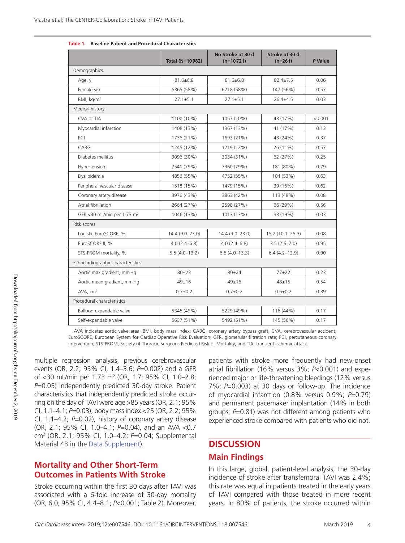|                                        | Total (N=10982)  | No Stroke at 30 d<br>$(n=10721)$ | Stroke at 30 d<br>$(n=261)$ | P Value |
|----------------------------------------|------------------|----------------------------------|-----------------------------|---------|
| Demographics                           |                  |                                  |                             |         |
| Age, y                                 | $81.6 \pm 6.8$   | $81.6 \pm 6.8$                   | $82.4 \pm 7.5$              | 0.06    |
| Female sex                             | 6365 (58%)       | 6218 (58%)                       | 147 (56%)                   | 0.57    |
| BMI, kg/m <sup>2</sup>                 | $27.1 \pm 5.1$   | $27.1 \pm 5.1$                   | $26.4 \pm 4.5$              | 0.03    |
| Medical history                        |                  |                                  |                             |         |
| CVA or TIA                             | 1100 (10%)       | 1057 (10%)                       | 43 (17%)                    | < 0.001 |
| Myocardial infarction                  | 1408 (13%)       | 1367 (13%)                       | 41 (17%)                    | 0.13    |
| PCI                                    | 1736 (21%)       | 1693 (21%)                       | 43 (24%)                    | 0.37    |
| CABG                                   | 1245 (12%)       | 1219 (12%)                       | 26 (11%)                    | 0.57    |
| Diabetes mellitus                      | 3096 (30%)       | 3034 (31%)                       | 62 (27%)                    | 0.25    |
| Hypertension                           | 7541 (79%)       | 7360 (79%)                       | 181 (80%)                   | 0.79    |
| Dyslipidemia                           | 4856 (55%)       | 4752 (55%)                       | 104 (53%)                   | 0.63    |
| Peripheral vascular disease            | 1518 (15%)       | 1479 (15%)                       | 39 (16%)                    | 0.62    |
| Coronary artery disease                | 3976 (43%)       | 3863 (42%)                       | 113 (48%)                   | 0.08    |
| Atrial fibrillation                    | 2664 (27%)       | 2598 (27%)                       | 66 (29%)                    | 0.56    |
| GFR <30 mL/min per 1.73 m <sup>2</sup> | 1046 (13%)       | 1013 (13%)                       | 33 (19%)                    | 0.03    |
| Risk scores                            |                  |                                  |                             |         |
| Logistic EuroSCORE, %                  | 14.4 (9.0-23.0)  | 14.4 (9.0-23.0)                  | $15.2(10.1 - 25.3)$         | 0.08    |
| EuroSCORE II, %                        | $4.0(2.4 - 6.8)$ | $4.0(2.4 - 6.8)$                 | $3.5(2.6 - 7.0)$            | 0.95    |
| STS-PROM mortality, %                  | $6.5(4.0-13.2)$  | $6.5(4.0-13.3)$                  | $6.4(4.2 - 12.9)$           | 0.90    |
| Echocardiographic characteristics      |                  |                                  |                             |         |
| Aortic max gradient, mm Hg             | $80+23$          | $80+24$                          | $77+22$                     | 0.23    |
| Aortic mean gradient, mm Hg            | $49 + 16$        | $49 + 16$                        | $48 + 15$                   | 0.54    |
| $AVA$ , $cm2$                          | $0.7 \pm 0.2$    | $0.7 + 0.2$                      | $0.6 \pm 0.2$               | 0.39    |
| Procedural characteristics             |                  |                                  |                             |         |
| Balloon-expandable valve               | 5345 (49%)       | 5229 (49%)                       | 116 (44%)                   | 0.17    |
| Self-expandable valve                  | 5637 (51%)       | 5492 (51%)                       | 145 (56%)                   | 0.17    |
|                                        |                  |                                  |                             |         |

#### **Table 1. Baseline Patient and Procedural Characteristics**

AVA indicates aortic valve area; BMI, body mass index; CABG, coronary artery bypass graft; CVA, cerebrovascular accident; EuroSCORE, European System for Cardiac Operative Risk Evaluation; GFR, glomerular filtration rate; PCI, percutaneous coronary intervention; STS-PROM, Society of Thoracic Surgeons Predicted Risk of Mortality; and TIA, transient ischemic attack.

multiple regression analysis, previous cerebrovascular events (OR, 2.2; 95% CI, 1.4–3.6; *P*=0.002) and a GFR of <30 mL/min per 1.73 m2 (OR, 1.7; 95% CI, 1.0–2.8; *P*=0.05) independently predicted 30-day stroke. Patient characteristics that independently predicted stroke occurring on the day of TAVI were age >85 years (OR, 2.1; 95% CI, 1.1–4.1; *P*=0.03), body mass index <25 (OR, 2.2; 95% CI, 1.1–4.2; *P*=0.02), history of coronary artery disease (OR, 2.1; 95% CI, 1.0–4.1; *P*=0.04), and an AVA <0.7 cm2 (OR, 2.1; 95% CI, 1.0–4.2; *P*=0.04; Supplemental Material 4B in the Data Supplement).

## **Mortality and Other Short-Term Outcomes in Patients With Stroke**

Stroke occurring within the first 30 days after TAVI was associated with a 6-fold increase of 30-day mortality (OR, 6.0; 95% CI, 4.4–8.1; *P*<0.001; Table 2). Moreover,

patients with stroke more frequently had new-onset atrial fibrillation (16% versus 3%; *P*<0.001) and experienced major or life-threatening bleedings (12% versus 7%; *P*=0.003) at 30 days or follow-up. The incidence of myocardial infarction (0.8% versus 0.9%; *P*=0.79) and permanent pacemaker implantation (14% in both groups; *P*=0.81) was not different among patients who experienced stroke compared with patients who did not.

## **DISCUSSION**

### **Main Findings**

In this large, global, patient-level analysis, the 30-day incidence of stroke after transfemoral TAVI was 2.4%; this rate was equal in patients treated in the early years of TAVI compared with those treated in more recent years. In 80% of patients, the stroke occurred within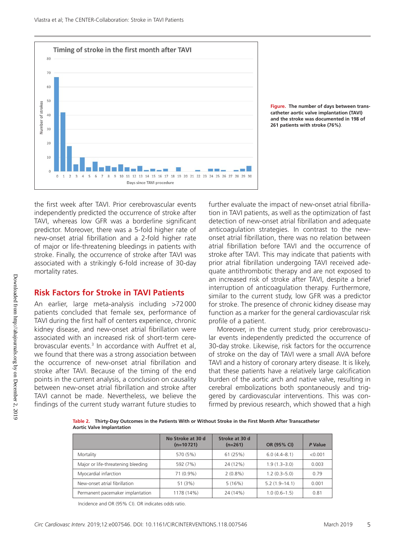

**Figure. The number of days between transcatheter aortic valve implantation (TAVI) and the stroke was documented in 198 of 261 patients with stroke (76%)**.

the first week after TAVI. Prior cerebrovascular events independently predicted the occurrence of stroke after TAVI, whereas low GFR was a borderline significant predictor. Moreover, there was a 5-fold higher rate of new-onset atrial fibrillation and a 2-fold higher rate of major or life-threatening bleedings in patients with stroke. Finally, the occurrence of stroke after TAVI was associated with a strikingly 6-fold increase of 30-day mortality rates.

## **Risk Factors for Stroke in TAVI Patients**

An earlier, large meta-analysis including >72000 patients concluded that female sex, performance of TAVI during the first half of centers experience, chronic kidney disease, and new-onset atrial fibrillation were associated with an increased risk of short-term cerebrovascular events.3 In accordance with Auffret et al, we found that there was a strong association between the occurrence of new-onset atrial fibrillation and stroke after TAVI. Because of the timing of the end points in the current analysis, a conclusion on causality between new-onset atrial fibrillation and stroke after TAVI cannot be made. Nevertheless, we believe the findings of the current study warrant future studies to

further evaluate the impact of new-onset atrial fibrillation in TAVI patients, as well as the optimization of fast detection of new-onset atrial fibrillation and adequate anticoagulation strategies. In contrast to the newonset atrial fibrillation, there was no relation between atrial fibrillation before TAVI and the occurrence of stroke after TAVI. This may indicate that patients with prior atrial fibrillation undergoing TAVI received adequate antithrombotic therapy and are not exposed to an increased risk of stroke after TAVI, despite a brief interruption of anticoagulation therapy. Furthermore, similar to the current study, low GFR was a predictor for stroke. The presence of chronic kidney disease may function as a marker for the general cardiovascular risk profile of a patient.

Moreover, in the current study, prior cerebrovascular events independently predicted the occurrence of 30-day stroke. Likewise, risk factors for the occurrence of stroke on the day of TAVI were a small AVA before TAVI and a history of coronary artery disease. It is likely, that these patients have a relatively large calcification burden of the aortic arch and native valve, resulting in cerebral embolizations both spontaneously and triggered by cardiovascular interventions. This was confirmed by previous research, which showed that a high

**Table 2. Thirty-Day Outcomes in the Patients With or Without Stroke in the First Month After Transcatheter Aortic Valve Implantation**

|                                    | No Stroke at 30 d<br>$(n=10721)$ | Stroke at 30 d<br>$(n=261)$ | OR (95% CI)       | P Value |
|------------------------------------|----------------------------------|-----------------------------|-------------------|---------|
| Mortality                          | 570 (5%)                         | 61(25%)                     | $6.0(4.4 - 8.1)$  | < 0.001 |
| Major or life-threatening bleeding | 592 (7%)                         | 24 (12%)                    | $1.9(1.3 - 3.0)$  | 0.003   |
| Myocardial infarction              | $71(0.9\%)$                      | $2(0.8\%)$                  | $1.2(0.3 - 5.0)$  | 0.79    |
| New-onset atrial fibrillation      | 51 (3%)                          | 5(16%)                      | $5.2(1.9 - 14.1)$ | 0.001   |
| Permanent pacemaker implantation   | 1178 (14%)                       | 24 (14%)                    | $1.0(0.6-1.5)$    | 0.81    |

Incidence and OR (95% CI). OR indicates odds ratio.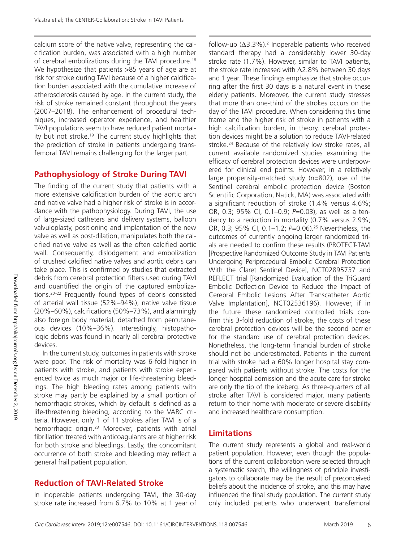calcium score of the native valve, representing the calcification burden, was associated with a high number of cerebral embolizations during the TAVI procedure.18 We hypothesize that patients >85 years of age are at risk for stroke during TAVI because of a higher calcification burden associated with the cumulative increase of atherosclerosis caused by age. In the current study, the risk of stroke remained constant throughout the years (2007–2018). The enhancement of procedural techniques, increased operator experience, and healthier TAVI populations seem to have reduced patient mortality but not stroke.<sup>19</sup> The current study highlights that the prediction of stroke in patients undergoing transfemoral TAVI remains challenging for the larger part.

## **Pathophysiology of Stroke During TAVI**

The finding of the current study that patients with a more extensive calcification burden of the aortic arch and native valve had a higher risk of stroke is in accordance with the pathophysiology. During TAVI, the use of large-sized catheters and delivery systems, balloon valvuloplasty, positioning and implantation of the new valve as well as post-dilation, manipulates both the calcified native valve as well as the often calcified aortic wall. Consequently, dislodgement and embolization of crushed calcified native valves and aortic debris can take place. This is confirmed by studies that extracted debris from cerebral protection filters used during TAVI and quantified the origin of the captured embolizations.20–22 Frequently found types of debris consisted of arterial wall tissue (52%–94%), native valve tissue (20%–60%), calcifications (50%–73%), and alarmingly also foreign body material, detached from percutaneous devices (10%–36%). Interestingly, histopathologic debris was found in nearly all cerebral protective devices.

In the current study, outcomes in patients with stroke were poor. The risk of mortality was 6-fold higher in patients with stroke, and patients with stroke experienced twice as much major or life-threatening bleedings. The high bleeding rates among patients with stroke may partly be explained by a small portion of hemorrhagic strokes, which by default is defined as a life-threatening bleeding, according to the VARC criteria. However, only 1 of 11 strokes after TAVI is of a hemorrhagic origin.<sup>23</sup> Moreover, patients with atrial fibrillation treated with anticoagulants are at higher risk for both stroke and bleedings. Lastly, the concomitant occurrence of both stroke and bleeding may reflect a general frail patient population.

## **Reduction of TAVI-Related Stroke**

In inoperable patients undergoing TAVI, the 30-day stroke rate increased from 6.7% to 10% at 1 year of

follow-up  $(\Delta 3.3\%)$ .<sup>2</sup> Inoperable patients who received standard therapy had a considerably lower 30-day stroke rate (1.7%). However, similar to TAVI patients, the stroke rate increased with  $\Delta$ 2.8% between 30 days and 1 year. These findings emphasize that stroke occurring after the first 30 days is a natural event in these elderly patients. Moreover, the current study stresses that more than one-third of the strokes occurs on the day of the TAVI procedure. When considering this time frame and the higher risk of stroke in patients with a high calcification burden, in theory, cerebral protection devices might be a solution to reduce TAVI-related stroke.<sup>24</sup> Because of the relatively low stroke rates, all current available randomized studies examining the efficacy of cerebral protection devices were underpowered for clinical end points. However, in a relatively large propensity-matched study (n=802), use of the Sentinel cerebral embolic protection device (Boston Scientific Corporation, Natick, MA) was associated with a significant reduction of stroke (1.4% versus 4.6%; OR, 0.3; 95% CI, 0.1–0.9; *P*=0.03), as well as a tendency to a reduction in mortality (0.7% versus 2.9%; OR, 0.3; 95% CI, 0.1–1.2; *P*=0.06).25 Nevertheless, the outcomes of currently ongoing larger randomized trials are needed to confirm these results (PROTECT-TAVI [Prospective Randomized Outcome Study in TAVI Patients Undergoing Periprocedural Embolic Cerebral Protection With the Claret Sentinel Device], NCT02895737 and REFLECT trial [Randomized Evaluation of the TriGuard Embolic Deflection Device to Reduce the Impact of Cerebral Embolic Lesions After Transcatheter Aortic Valve Implantation], NCT02536196). However, if in the future these randomized controlled trials confirm this 3-fold reduction of stroke, the costs of these cerebral protection devices will be the second barrier for the standard use of cerebral protection devices. Nonetheless, the long-term financial burden of stroke should not be underestimated. Patients in the current trial with stroke had a 60% longer hospital stay compared with patients without stroke. The costs for the longer hospital admission and the acute care for stroke are only the tip of the iceberg. As three-quarters of all stroke after TAVI is considered major, many patients return to their home with moderate or severe disability and increased healthcare consumption.

## **Limitations**

The current study represents a global and real-world patient population. However, even though the populations of the current collaboration were selected through a systematic search, the willingness of principle investigators to collaborate may be the result of preconceived beliefs about the incidence of stroke, and this may have influenced the final study population. The current study only included patients who underwent transfemoral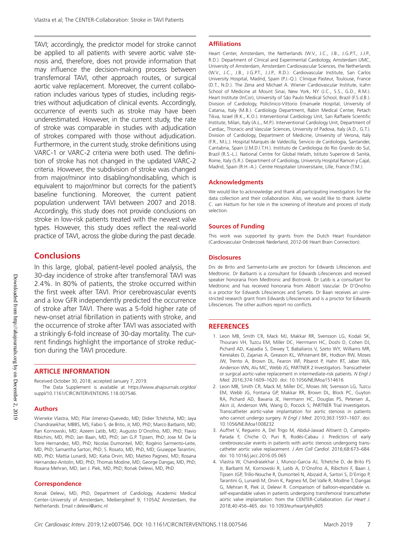TAVI; accordingly, the predictor model for stroke cannot be applied to all patients with severe aortic valve stenosis and, therefore, does not provide information that may influence the decision-making process between transfemoral TAVI, other approach routes, or surgical aortic valve replacement. Moreover, the current collaboration includes various types of studies, including registries without adjudication of clinical events. Accordingly, occurrence of events such as stroke may have been underestimated. However, in the current study, the rate of stroke was comparable in studies with adjudication of strokes compared with those without adjudication. Furthermore, in the current study, stroke definitions using VARC-1 or VARC-2 criteria were both used. The definition of stroke has not changed in the updated VARC-2 criteria. However, the subdivision of stroke was changed from major/minor into disabling/nondisabling, which is equivalent to major/minor but corrects for the patient's baseline functioning. Moreover, the current patient population underwent TAVI between 2007 and 2018. Accordingly, this study does not provide conclusions on stroke in low-risk patients treated with the newest valve types. However, this study does reflect the real-world practice of TAVI, across the globe during the past decade.

## **Conclusions**

In this large, global, patient-level pooled analysis, the 30-day incidence of stroke after transfemoral TAVI was 2.4%. In 80% of patients, the stroke occurred within the first week after TAVI. Prior cerebrovascular events and a low GFR independently predicted the occurrence of stroke after TAVI. There was a 5-fold higher rate of new-onset atrial fibrillation in patients with stroke, and the occurrence of stroke after TAVI was associated with a strikingly 6-fold increase of 30-day mortality. The current findings highlight the importance of stroke reduction during the TAVI procedure.

#### **ARTICLE INFORMATION**

Received October 30, 2018; accepted January 7, 2019. The Data Supplement is available at https://www.ahajournals.org/doi/ suppl/10.1161/CIRCINTERVENTIONS.118.007546.

#### **Authors**

Wieneke Vlastra, MD; Pilar Jimenez-Quevedo, MD; Didier Tchétché, MD; Jaya Chandrasekhar, MBBS, MS; Fabio S. de Brito, Jr, MD, PhD; Marco Barbanti, MD; Ran Kornowski, MD; Azeem Latib, MD; Augusto D'Onofrio, MD, PhD; Flavio Ribichini, MD, PhD; Jan Baan, MD, PhD; Jan G.P. Tijssen, PhD; Jose M. De la Torre Hernandez, MD, PhD; Nicolas Dumonteil, MD; Rogério Sarmento-Leite, MD, PhD; Samantha Sartori, PhD; S. Rosato, MD, PhD, MD; Giuseppe Tarantini, MD, PhD; Mattia Lunardi, MD; Katia Orvin, MD; Matteo Pagnesi, MD; Rosana Hernandez-Antolin, MD, PhD; Thomas Modine, MD; George Dangas, MD, PhD; Roxana Mehran, MD; Jan J. Piek, MD, PhD; Ronak Delewi, MD, PhD

#### **Correspondence**

Ronak Delewi, MD, PhD, Department of Cardiology, Academic Medical Center–University of Amsterdam, Meibergdreef 9, 1105AZ Amsterdam, the Netherlands. Email [r.delewi@amc.nl](mailto:r.delewi@amc.nl)

#### **Affiliations**

Heart Center, Amsterdam, the Netherlands (W.V., J.C., J.B., J.G.P.T., J.J.P., R.D.). Department of Clinical and Experimental Cardiology, Amsterdam UMC, University of Amsterdam, Amsterdam Cardiovascular Sciences, the Netherlands (W.V., J.C., J.B., J.G.P.T., J.J.P., R.D.). Cardiovascular Institute, San Carlos University Hospital, Madrid, Spain (P.J.-Q.). Clinique Pasteur, Toulouse, France (D.T., N.D.). The Zena and Michael A. Wiener Cardiovascular Institute, Icahn School of Medicine at Mount Sinai, New York, NY (J.C., S.S., G.D., R.M.). Heart Institute (InCor), University of São Paulo Medical School, Brazil (F.S.d.B.). Division of Cardiology, Policlinico-Vittorio Emanuele Hospital, University of Catania, Italy (M.B.). Cardiology Department, Rabin Medical Center, Petach Tikva, Israel (R.K., K.O.). Interventional Cardiology Unit, San Raffaele Scientific Institute, Milan, Italy (A.L., M.P.). Interventional Cardiology Unit, Department of Cardiac, Thoracic and Vascular Sciences, University of Padova, Italy (A.D., G.T.). Division of Cardiology, Department of Medicine, University of Verona, Italy (F.R., M.L.). Hospital Marqués de Valdecilla, Servicio de Cardiología, Santander, Cantabria, Spain (J.M.D.l.T.H.). Instituto de Cardiologia do Rio Grando do Sul, Brazil (R.S.-L.). National Centre for Global Helath, Istituto Superiore di Sanità, Rome, Italy (S.R.). Department of Cardiology, University Hospital Ramon y Cajal, Madrid, Spain (R.H.-A.). Centre Hospitalier Universitaire, Lille, France (T.M.).

#### **Acknowledgments**

We would like to acknowledge and thank all participating investigators for the data collection and their collaboration. Also, we would like to thank Juliette C. van Hattum for her role in the screening of literature and process of study selection.

#### **Sources of Funding**

This work was supported by grants from the Dutch Heart Foundation (Cardiovasculair Onderzoek Nederland, 2012-06 Heart Brain Connection).

#### **Disclosures**

Drs de Brito and Sarmento-Leite are proctors for Edwards Lifesciences and Medtronic. Dr Barbanti is a consultant for Edwards Lifesciences and received speaker honoraria from Medtronic and Biotronik. Dr Latib is a consultant for Medtronic and has received honoraria from Abbott Vascular. Dr D'Onofrio is a proctor for Edwards Lifesciences and Symetis. Dr Baan receives an unrestricted research grant from Edwards Lifesciences and is a proctor for Edwards Lifesciences. The other authors report no conflicts.

#### **REFERENCES**

- 1. Leon MB, Smith CR, Mack MJ, Makkar RR, Svensson LG, Kodali SK, Thourani VH, Tuzcu EM, Miller DC, Herrmann HC, Doshi D, Cohen DJ, Pichard AD, Kapadia S, Dewey T, Babaliaros V, Szeto WY, Williams MR, Kereiakes D, Zajarias A, Greason KL, Whisenant BK, Hodson RW, Moses JW, Trento A, Brown DL, Fearon WF, Pibarot P, Hahn RT, Jaber WA, Anderson WN, Alu MC, Webb JG; PARTNER 2 Investigators. Transcatheter or surgical aortic-valve replacement in intermediate-risk patients. *N Engl J Med*. 2016;374:1609–1620. doi: 10.1056/NEJMoa1514616
- 2. Leon MB, Smith CR, Mack M, Miller DC, Moses JW, Svensson LG, Tuzcu EM, Webb JG, Fontana GP, Makkar RR, Brown DL, Block PC, Guyton RA, Pichard AD, Bavaria JE, Herrmann HC, Douglas PS, Petersen JL, Akin JJ, Anderson WN, Wang D, Pocock S; PARTNER Trial Investigators. Transcatheter aortic-valve implantation for aortic stenosis in patients who cannot undergo surgery. *N Engl J Med*. 2010;363:1597–1607. doi: 10.1056/NEJMoa1008232
- 3. Auffret V, Regueiro A, Del Trigo M, Abdul-Jawad Altisent O, Campelo-Parada F, Chiche O, Puri R, Rodés-Cabau J. Predictors of early cerebrovascular events in patients with aortic stenosis undergoing transcatheter aortic valve replacement. *J Am Coll Cardiol*. 2016;68:673–684. doi: 10.1016/j.jacc.2016.05.065
- 4. Vlastra W, Chandrasekhar J, Munoz-Garcia AJ, Tchetche D, de Brito FS Jr, Barbanti M, Kornowski R, Latib A, D'Onofrio A, Ribichini F, Baan J, Tijssen JGP, Trillo-Nouche R, Dumonteil N, Abizaid A, Sartori S, D'Errigo P, Tarantini G, Lunardi M, Orvin K, Pagnesi M, Del Valle R, Modine T, Dangas G, Mehran R, Piek JJ, Delewi R. Comparison of balloon-expandable vs. self-expandable valves in patients undergoing transfemoral transcatheter aortic valve implantation: from the CENTER-Collaboration. *Eur Heart J*. 2018;40:456–465. doi: 10.1093/eurheartj/ehy805